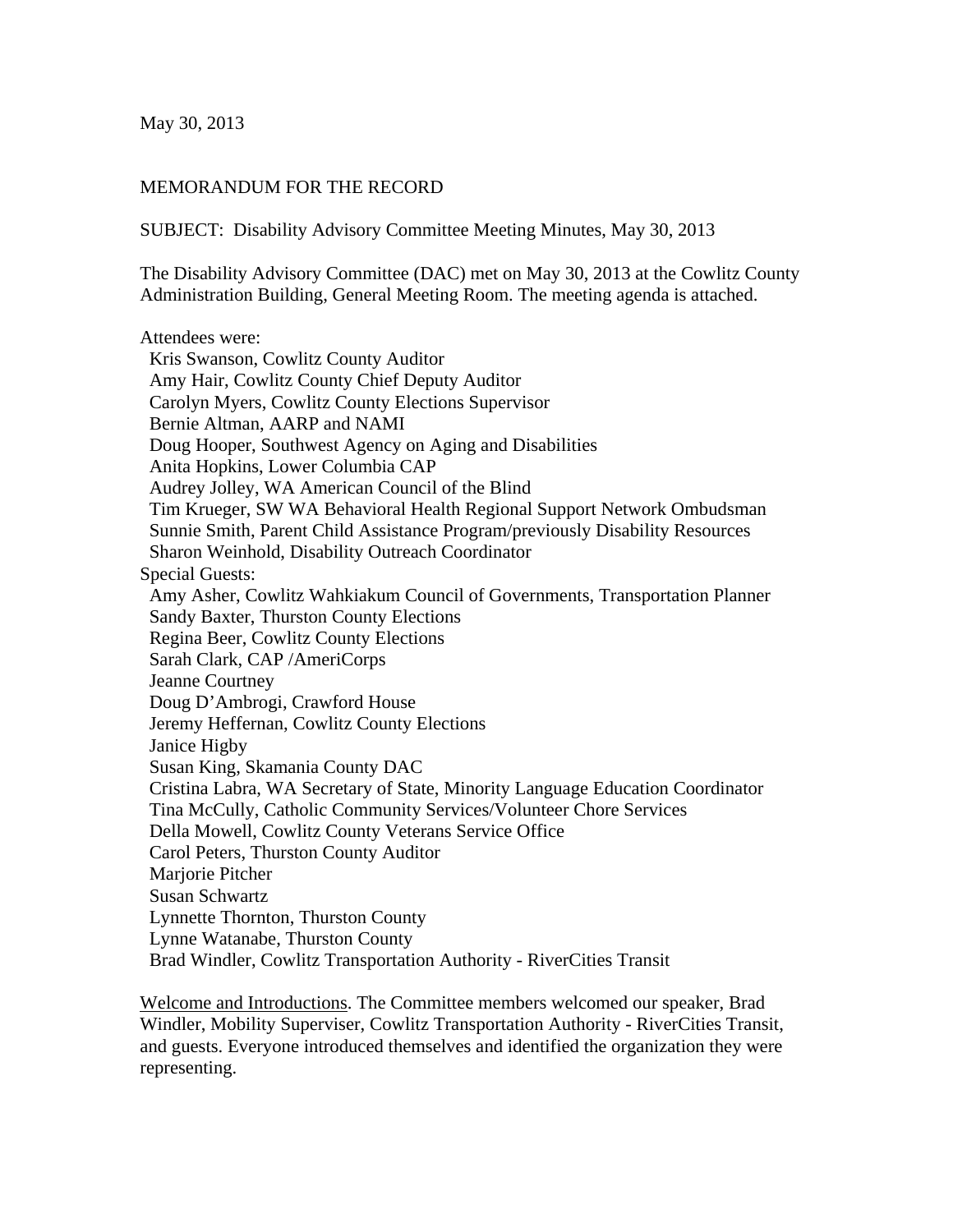May 30, 2013

## MEMORANDUM FOR THE RECORD

SUBJECT: Disability Advisory Committee Meeting Minutes, May 30, 2013

The Disability Advisory Committee (DAC) met on May 30, 2013 at the Cowlitz County Administration Building, General Meeting Room. The meeting agenda is attached.

Attendees were: Kris Swanson, Cowlitz County Auditor Amy Hair, Cowlitz County Chief Deputy Auditor Carolyn Myers, Cowlitz County Elections Supervisor Bernie Altman, AARP and NAMI Doug Hooper, Southwest Agency on Aging and Disabilities Anita Hopkins, Lower Columbia CAP Audrey Jolley, WA American Council of the Blind Tim Krueger, SW WA Behavioral Health Regional Support Network Ombudsman Sunnie Smith, Parent Child Assistance Program/previously Disability Resources Sharon Weinhold, Disability Outreach Coordinator Special Guests: Amy Asher, Cowlitz Wahkiakum Council of Governments, Transportation Planner Sandy Baxter, Thurston County Elections Regina Beer, Cowlitz County Elections Sarah Clark, CAP /AmeriCorps Jeanne Courtney Doug D'Ambrogi, Crawford House Jeremy Heffernan, Cowlitz County Elections Janice Higby Susan King, Skamania County DAC Cristina Labra, WA Secretary of State, Minority Language Education Coordinator Tina McCully, Catholic Community Services/Volunteer Chore Services Della Mowell, Cowlitz County Veterans Service Office Carol Peters, Thurston County Auditor Marjorie Pitcher Susan Schwartz Lynnette Thornton, Thurston County Lynne Watanabe, Thurston County Brad Windler, Cowlitz Transportation Authority - RiverCities Transit

Welcome and Introductions. The Committee members welcomed our speaker, Brad Windler, Mobility Superviser, Cowlitz Transportation Authority - RiverCities Transit, and guests. Everyone introduced themselves and identified the organization they were representing.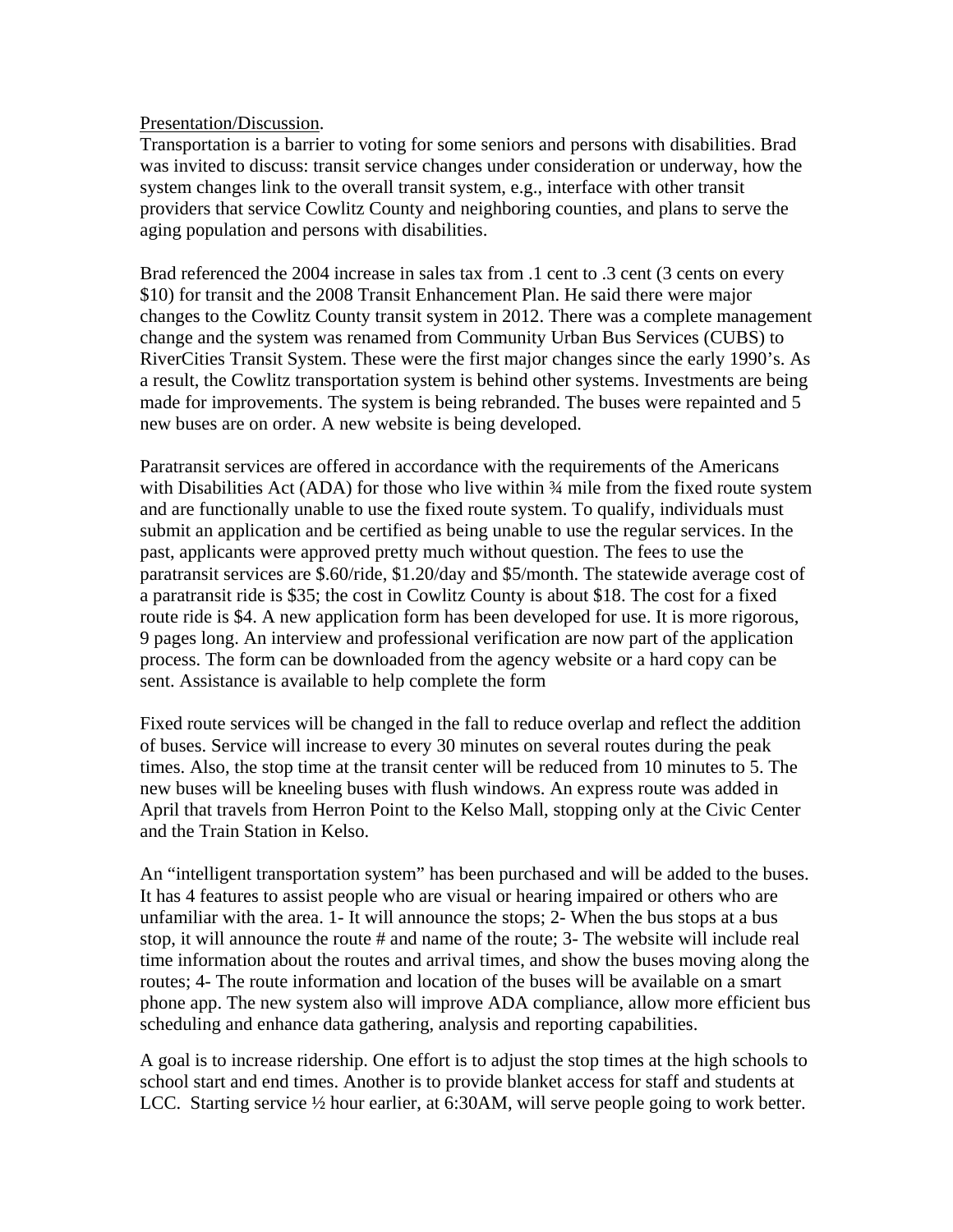## Presentation/Discussion.

Transportation is a barrier to voting for some seniors and persons with disabilities. Brad was invited to discuss: transit service changes under consideration or underway, how the system changes link to the overall transit system, e.g., interface with other transit providers that service Cowlitz County and neighboring counties, and plans to serve the aging population and persons with disabilities.

Brad referenced the 2004 increase in sales tax from .1 cent to .3 cent (3 cents on every \$10) for transit and the 2008 Transit Enhancement Plan. He said there were major changes to the Cowlitz County transit system in 2012. There was a complete management change and the system was renamed from Community Urban Bus Services (CUBS) to RiverCities Transit System. These were the first major changes since the early 1990's. As a result, the Cowlitz transportation system is behind other systems. Investments are being made for improvements. The system is being rebranded. The buses were repainted and 5 new buses are on order. A new website is being developed.

Paratransit services are offered in accordance with the requirements of the Americans with Disabilities Act (ADA) for those who live within  $\frac{3}{4}$  mile from the fixed route system and are functionally unable to use the fixed route system. To qualify, individuals must submit an application and be certified as being unable to use the regular services. In the past, applicants were approved pretty much without question. The fees to use the paratransit services are \$.60/ride, \$1.20/day and \$5/month. The statewide average cost of a paratransit ride is \$35; the cost in Cowlitz County is about \$18. The cost for a fixed route ride is \$4. A new application form has been developed for use. It is more rigorous, 9 pages long. An interview and professional verification are now part of the application process. The form can be downloaded from the agency website or a hard copy can be sent. Assistance is available to help complete the form

Fixed route services will be changed in the fall to reduce overlap and reflect the addition of buses. Service will increase to every 30 minutes on several routes during the peak times. Also, the stop time at the transit center will be reduced from 10 minutes to 5. The new buses will be kneeling buses with flush windows. An express route was added in April that travels from Herron Point to the Kelso Mall, stopping only at the Civic Center and the Train Station in Kelso.

An "intelligent transportation system" has been purchased and will be added to the buses. It has 4 features to assist people who are visual or hearing impaired or others who are unfamiliar with the area. 1- It will announce the stops; 2- When the bus stops at a bus stop, it will announce the route # and name of the route; 3- The website will include real time information about the routes and arrival times, and show the buses moving along the routes; 4- The route information and location of the buses will be available on a smart phone app. The new system also will improve ADA compliance, allow more efficient bus scheduling and enhance data gathering, analysis and reporting capabilities.

A goal is to increase ridership. One effort is to adjust the stop times at the high schools to school start and end times. Another is to provide blanket access for staff and students at LCC. Starting service  $\frac{1}{2}$  hour earlier, at 6:30AM, will serve people going to work better.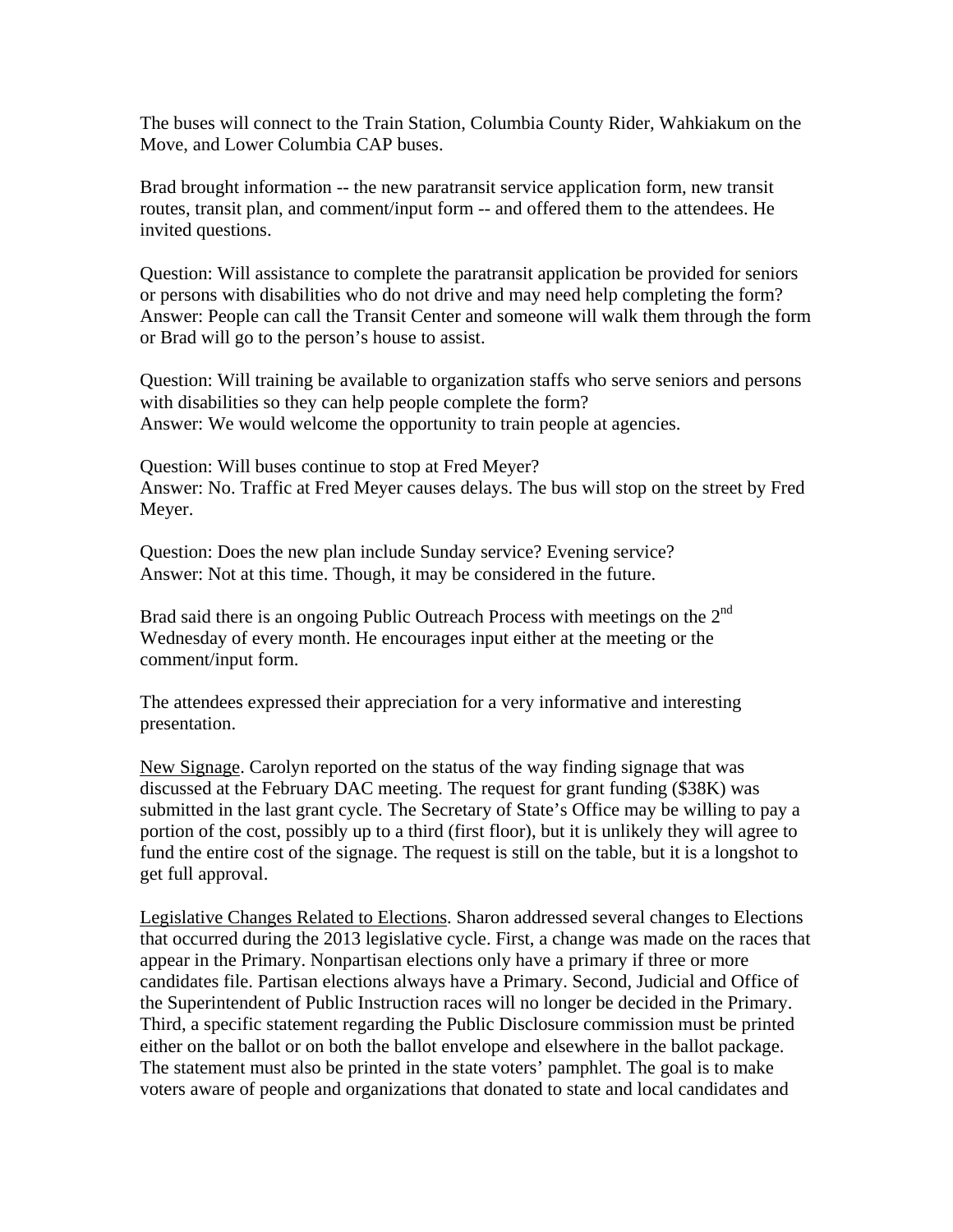The buses will connect to the Train Station, Columbia County Rider, Wahkiakum on the Move, and Lower Columbia CAP buses.

Brad brought information -- the new paratransit service application form, new transit routes, transit plan, and comment/input form -- and offered them to the attendees. He invited questions.

Question: Will assistance to complete the paratransit application be provided for seniors or persons with disabilities who do not drive and may need help completing the form? Answer: People can call the Transit Center and someone will walk them through the form or Brad will go to the person's house to assist.

Question: Will training be available to organization staffs who serve seniors and persons with disabilities so they can help people complete the form? Answer: We would welcome the opportunity to train people at agencies.

Question: Will buses continue to stop at Fred Meyer? Answer: No. Traffic at Fred Meyer causes delays. The bus will stop on the street by Fred Meyer.

Question: Does the new plan include Sunday service? Evening service? Answer: Not at this time. Though, it may be considered in the future.

Brad said there is an ongoing Public Outreach Process with meetings on the  $2<sup>nd</sup>$ Wednesday of every month. He encourages input either at the meeting or the comment/input form.

The attendees expressed their appreciation for a very informative and interesting presentation.

New Signage. Carolyn reported on the status of the way finding signage that was discussed at the February DAC meeting. The request for grant funding (\$38K) was submitted in the last grant cycle. The Secretary of State's Office may be willing to pay a portion of the cost, possibly up to a third (first floor), but it is unlikely they will agree to fund the entire cost of the signage. The request is still on the table, but it is a longshot to get full approval.

Legislative Changes Related to Elections. Sharon addressed several changes to Elections that occurred during the 2013 legislative cycle. First, a change was made on the races that appear in the Primary. Nonpartisan elections only have a primary if three or more candidates file. Partisan elections always have a Primary. Second, Judicial and Office of the Superintendent of Public Instruction races will no longer be decided in the Primary. Third, a specific statement regarding the Public Disclosure commission must be printed either on the ballot or on both the ballot envelope and elsewhere in the ballot package. The statement must also be printed in the state voters' pamphlet. The goal is to make voters aware of people and organizations that donated to state and local candidates and